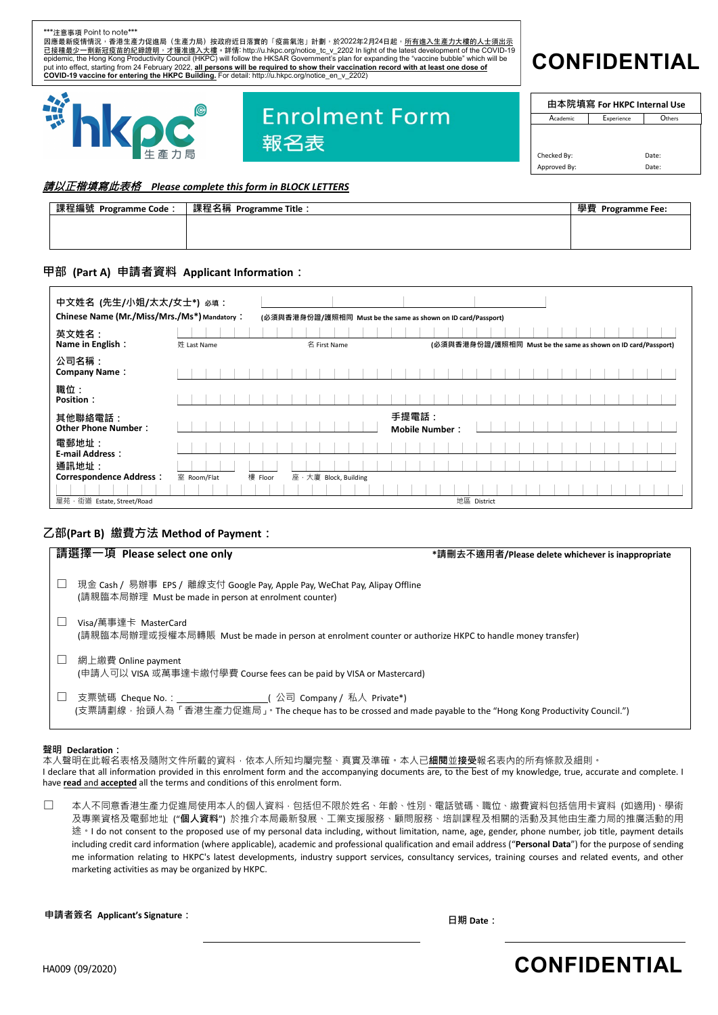

### 請以正楷填寫此表格 *Please complete this form in BLOCK LETTERS*

|                      | 課程名稱 Programme Title : |                   |
|----------------------|------------------------|-------------------|
| 課程編號 Programme Code: |                        | 學費 Programme Fee: |
|                      |                        |                   |
|                      |                        |                   |
|                      |                        |                   |
|                      |                        |                   |
|                      |                        |                   |

#### **甲部 (Part A) 申請者資料 Applicant Information:**

| 中文姓名 (先生/小姐/太太/女士*) 必填:<br>Chinese Name (Mr./Miss/Mrs./Ms*) Mandatory: |             | (必須與香港身份證/護照相同 Must be the same as shown on ID card/Passport) |                                                               |
|------------------------------------------------------------------------|-------------|---------------------------------------------------------------|---------------------------------------------------------------|
| 英文姓名:<br>Name in English:                                              | 姓 Last Name | 名 First Name                                                  | (必須與香港身份證/護照相同 Must be the same as shown on ID card/Passport) |
| 公司名稱:<br><b>Company Name:</b>                                          |             |                                                               |                                                               |
| 職位:<br>Position:                                                       |             |                                                               |                                                               |
| 其他聯絡電話:<br><b>Other Phone Number:</b>                                  |             | 手提電話:<br><b>Mobile Number:</b>                                |                                                               |
| 電郵地址:<br><b>E-mail Address:</b>                                        |             |                                                               |                                                               |
| 通訊地址:<br><b>Correspondence Address:</b>                                | 室 Room/Flat | 樓 Floor<br>座 · 大廈 Block, Building                             |                                                               |
| 屋苑 · 街道 Estate, Street/Road                                            |             |                                                               | 地區 District                                                   |

### **乙部(Part B) 繳費方法 Method of Payment:**

| 請選擇一項 Please select one only                                                                                                                                                               | *請刪去不適用者/Please delete whichever is inappropriate |
|--------------------------------------------------------------------------------------------------------------------------------------------------------------------------------------------|---------------------------------------------------|
| 現金 Cash / 易辦事 EPS / 離線支付 Google Pay, Apple Pay, WeChat Pay, Alipay Offline<br>(請親臨本局辦理 Must be made in person at enrolment counter)                                                        |                                                   |
| Visa/萬事達卡 MasterCard<br>(請親臨本局辦理或授權本局轉賬  Must be made in person at enrolment counter or authorize HKPC to handle money transfer)                                                           |                                                   |
| 網上繳費 Online payment<br>(申請人可以 VISA 或萬事達卡繳付學費 Course fees can be paid by VISA or Mastercard)                                                                                                |                                                   |
| 支票號碼 Cheque No.:                             ( 公司 Company / 私人 Private*)<br>(支票請劃線‧抬頭人為「香港生產力促進局 」。The cheque has to be crossed and made payable to the "Hong Kong Productivity Council.") |                                                   |

#### **聲明 Declaration:**

本人聲明在此報名表格及隨附文件所載的資料,依本人所知均屬完整、真實及準確。本人已**細閱**並**接受**報名表內的所有條款及細則。 I declare that all information provided in this enrolment form and the accompanying documents are, to the best of my knowledge, true, accurate and complete. I have **read** and **accepted** all the terms and conditions of this enrolment form.

□ 本人不同意香港生產力促進局使用本人的個人資料,包括但不限於姓名、年齡、性別、電話號碼、職位、繳費資料包括信用卡資料 (如適用)、學術 及專業資格及電郵地址 ("**個人資料**") 於推介本局最新發展、工業支援服務、顧問服務、培訓課程及相關的活動及其他由生產力局的推廣活動的用 途。I do not consent to the proposed use of my personal data including, without limitation, name, age, gender, phone number, job title, payment details including credit card information (where applicable), academic and professional qualification and email address ("**Personal Data**") for the purpose of sending me information relating to HKPC's latest developments, industry support services, consultancy services, training courses and related events, and other marketing activities as may be organized by HKPC.

**申請者簽名 Applicant's Signature: 日期 Date:**

# HA009 (0**/20**2**D** ) **CONFIDENTIAL**